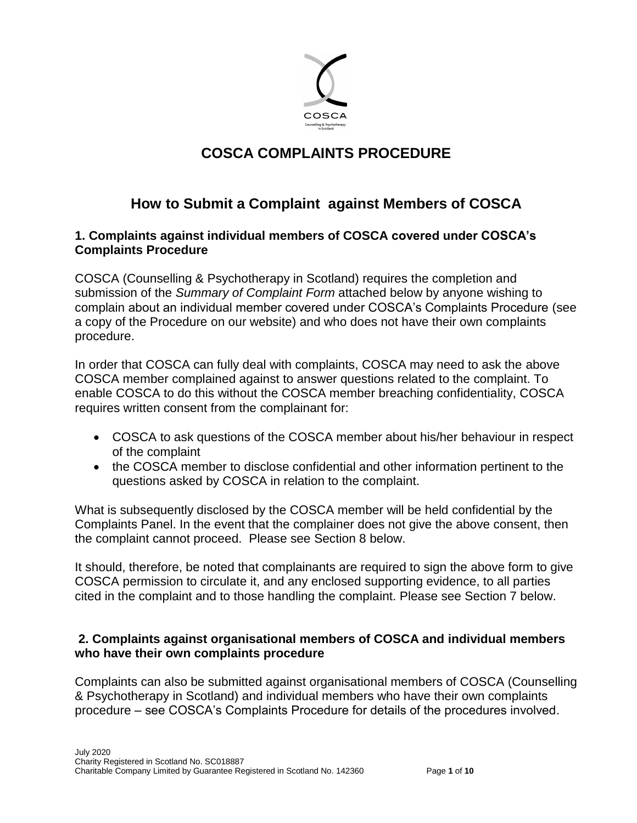

# **COSCA COMPLAINTS PROCEDURE**

# **How to Submit a Complaint against Members of COSCA**

#### **1. Complaints against individual members of COSCA covered under COSCA's Complaints Procedure**

COSCA (Counselling & Psychotherapy in Scotland) requires the completion and submission of the *Summary of Complaint Form* attached below by anyone wishing to complain about an individual member covered under COSCA's Complaints Procedure (see a copy of the Procedure on our website) and who does not have their own complaints procedure.

In order that COSCA can fully deal with complaints, COSCA may need to ask the above COSCA member complained against to answer questions related to the complaint. To enable COSCA to do this without the COSCA member breaching confidentiality, COSCA requires written consent from the complainant for:

- COSCA to ask questions of the COSCA member about his/her behaviour in respect of the complaint
- the COSCA member to disclose confidential and other information pertinent to the questions asked by COSCA in relation to the complaint.

What is subsequently disclosed by the COSCA member will be held confidential by the Complaints Panel. In the event that the complainer does not give the above consent, then the complaint cannot proceed. Please see Section 8 below.

It should, therefore, be noted that complainants are required to sign the above form to give COSCA permission to circulate it, and any enclosed supporting evidence, to all parties cited in the complaint and to those handling the complaint. Please see Section 7 below.

#### **2. Complaints against organisational members of COSCA and individual members who have their own complaints procedure**

Complaints can also be submitted against organisational members of COSCA (Counselling & Psychotherapy in Scotland) and individual members who have their own complaints procedure – see COSCA's Complaints Procedure for details of the procedures involved.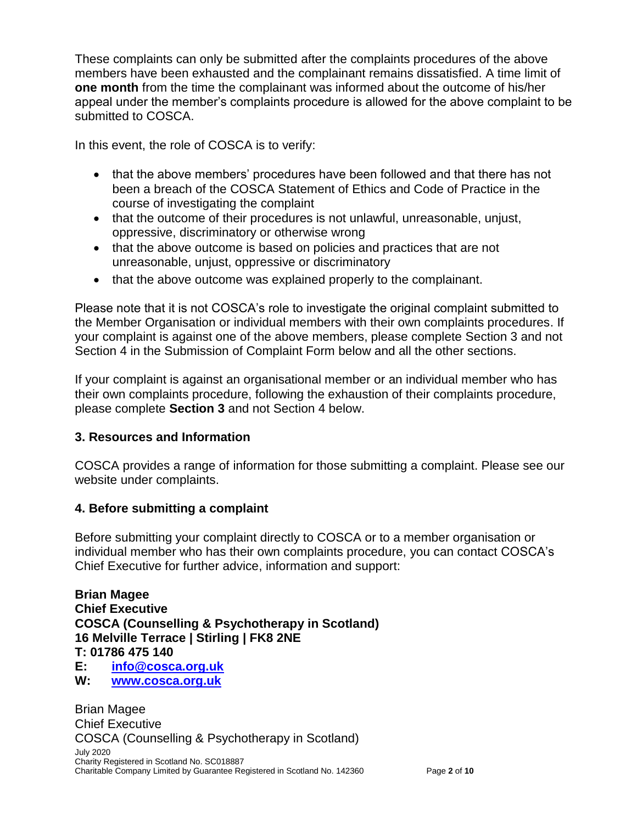These complaints can only be submitted after the complaints procedures of the above members have been exhausted and the complainant remains dissatisfied. A time limit of **one month** from the time the complainant was informed about the outcome of his/her appeal under the member's complaints procedure is allowed for the above complaint to be submitted to COSCA.

In this event, the role of COSCA is to verify:

- that the above members' procedures have been followed and that there has not been a breach of the COSCA Statement of Ethics and Code of Practice in the course of investigating the complaint
- that the outcome of their procedures is not unlawful, unreasonable, unjust, oppressive, discriminatory or otherwise wrong
- that the above outcome is based on policies and practices that are not unreasonable, unjust, oppressive or discriminatory
- that the above outcome was explained properly to the complainant.

Please note that it is not COSCA's role to investigate the original complaint submitted to the Member Organisation or individual members with their own complaints procedures. If your complaint is against one of the above members, please complete Section 3 and not Section 4 in the Submission of Complaint Form below and all the other sections.

If your complaint is against an organisational member or an individual member who has their own complaints procedure, following the exhaustion of their complaints procedure, please complete **Section 3** and not Section 4 below.

### **3. Resources and Information**

COSCA provides a range of information for those submitting a complaint. Please see our website under complaints.

#### **4. Before submitting a complaint**

Before submitting your complaint directly to COSCA or to a member organisation or individual member who has their own complaints procedure, you can contact COSCA's Chief Executive for further advice, information and support:

**Brian Magee Chief Executive COSCA (Counselling & Psychotherapy in Scotland) 16 Melville Terrace | Stirling | FK8 2NE T: 01786 475 140 E: info@cosca.org.uk W: www.cosca.org.uk**

July 2020 Charity Registered in Scotland No. SC018887 Charitable Company Limited by Guarantee Registered in Scotland No. 142360 Page **2** of **10** Brian Magee Chief Executive COSCA (Counselling & Psychotherapy in Scotland)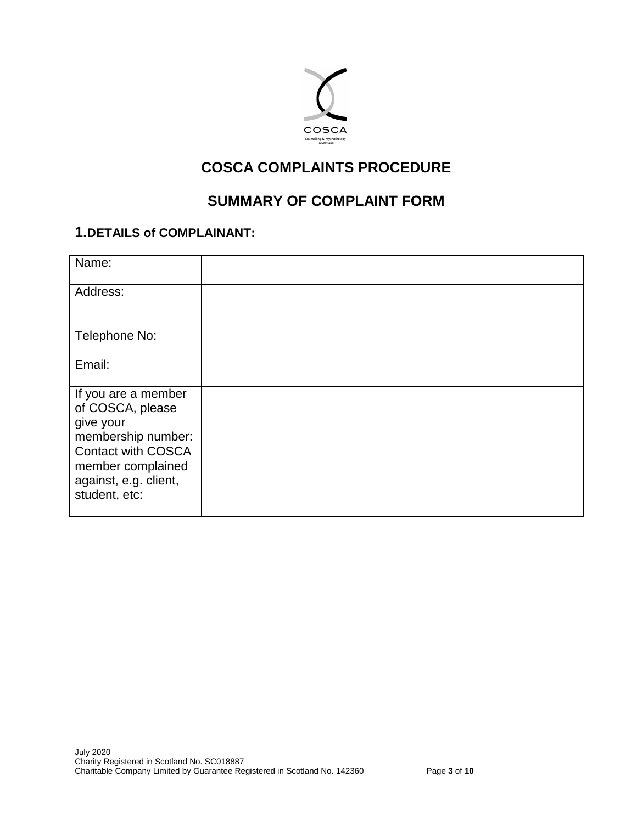

# **COSCA COMPLAINTS PROCEDURE**

# **SUMMARY OF COMPLAINT FORM**

## **1.DETAILS of COMPLAINANT:**

| Name:                     |  |
|---------------------------|--|
| Address:                  |  |
|                           |  |
| Telephone No:             |  |
|                           |  |
| Email:                    |  |
|                           |  |
| If you are a member       |  |
| of COSCA, please          |  |
| give your                 |  |
| membership number:        |  |
| <b>Contact with COSCA</b> |  |
| member complained         |  |
| against, e.g. client,     |  |
| student, etc:             |  |
|                           |  |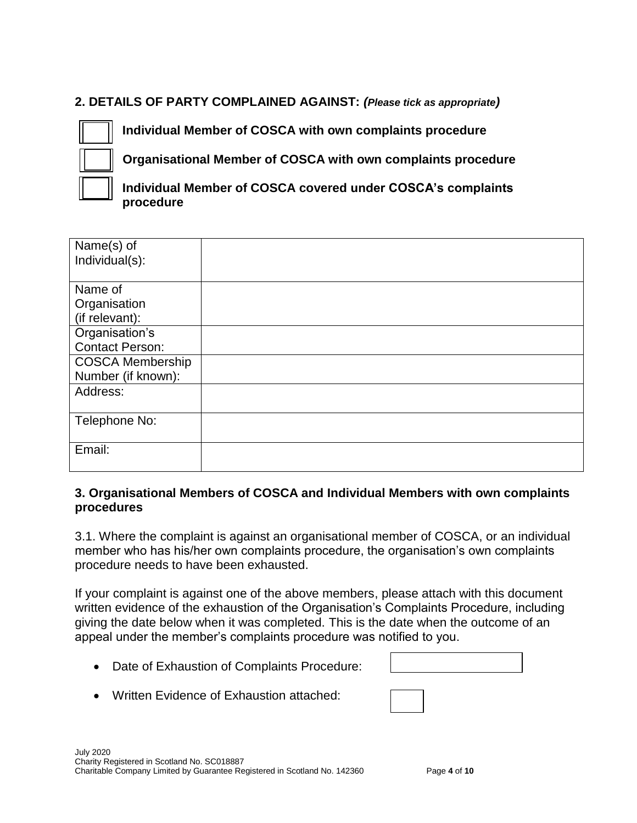### **2. DETAILS OF PARTY COMPLAINED AGAINST:** *(Please tick as appropriate)*



**Individual Member of COSCA with own complaints procedure** 

**Organisational Member of COSCA with own complaints procedure** 

**Individual Member of COSCA covered under COSCA's complaints procedure**

| Name(s) of              |  |
|-------------------------|--|
| Individual(s):          |  |
|                         |  |
|                         |  |
| Name of                 |  |
| Organisation            |  |
| (if relevant):          |  |
| Organisation's          |  |
| <b>Contact Person:</b>  |  |
| <b>COSCA Membership</b> |  |
| Number (if known):      |  |
| Address:                |  |
|                         |  |
| Telephone No:           |  |
|                         |  |
| Email:                  |  |
|                         |  |
|                         |  |

#### **3. Organisational Members of COSCA and Individual Members with own complaints procedures**

3.1. Where the complaint is against an organisational member of COSCA, or an individual member who has his/her own complaints procedure, the organisation's own complaints procedure needs to have been exhausted.

If your complaint is against one of the above members, please attach with this document written evidence of the exhaustion of the Organisation's Complaints Procedure, including giving the date below when it was completed. This is the date when the outcome of an appeal under the member's complaints procedure was notified to you.

• Date of Exhaustion of Complaints Procedure:

**www.cosca.org.uk**

Written Evidence of Exhaustion attached: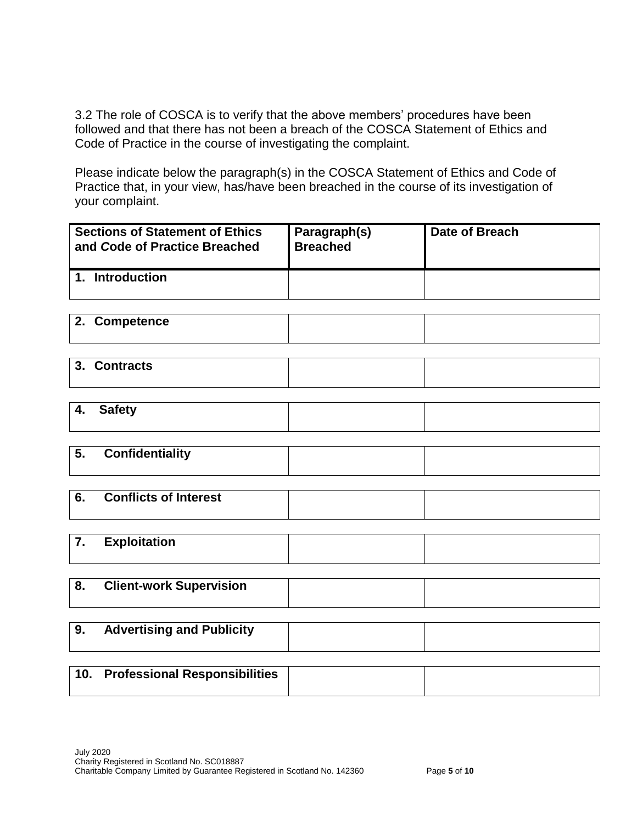3.2 The role of COSCA is to verify that the above members' procedures have been followed and that there has not been a breach of the COSCA Statement of Ethics and Code of Practice in the course of investigating the complaint.

Please indicate below the paragraph(s) in the COSCA Statement of Ethics and Code of Practice that, in your view, has/have been breached in the course of its investigation of your complaint.

| <b>Sections of Statement of Ethics</b><br>and Code of Practice Breached | Paragraph(s)<br><b>Breached</b> | Date of Breach |
|-------------------------------------------------------------------------|---------------------------------|----------------|
| <b>Introduction</b>                                                     |                                 |                |

| 2. Competence |  |
|---------------|--|
|               |  |

| 3. Contracts |  |
|--------------|--|
|              |  |

| 4. Safety |  |
|-----------|--|
|           |  |

**5. Confidentiality**

| 6. | <b>Conflicts of Interest</b> |  |
|----|------------------------------|--|
|    | F                            |  |

| . | εχρισπατιση |  |
|---|-------------|--|
|   |             |  |
|   |             |  |

| - 8. | <b>Client-work Supervision</b> |  |
|------|--------------------------------|--|
|      |                                |  |

| 9. | <b>Advertising and Publicity</b> |  |
|----|----------------------------------|--|
|    |                                  |  |

| 10. Professional Responsibilities |  |
|-----------------------------------|--|
|                                   |  |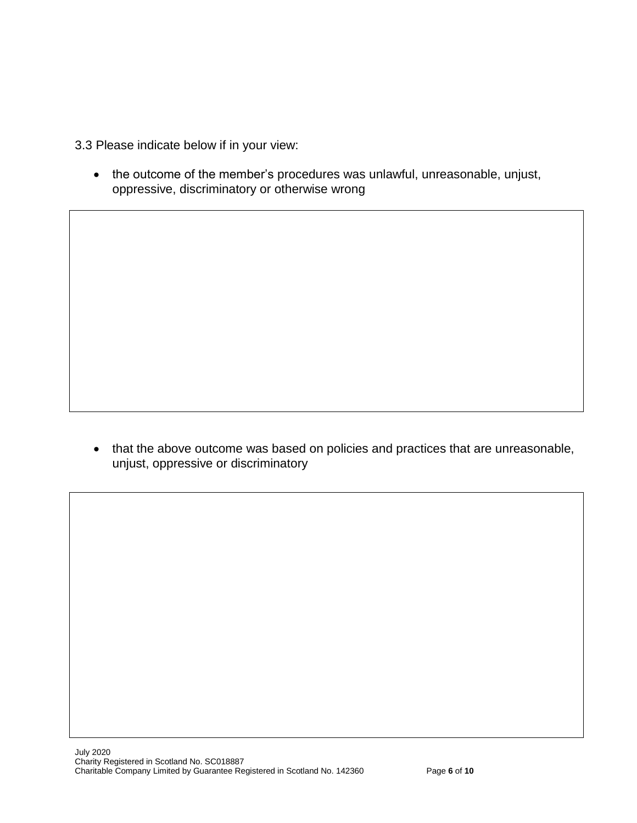3.3 Please indicate below if in your view:

 the outcome of the member's procedures was unlawful, unreasonable, unjust, oppressive, discriminatory or otherwise wrong

• that the above outcome was based on policies and practices that are unreasonable, unjust, oppressive or discriminatory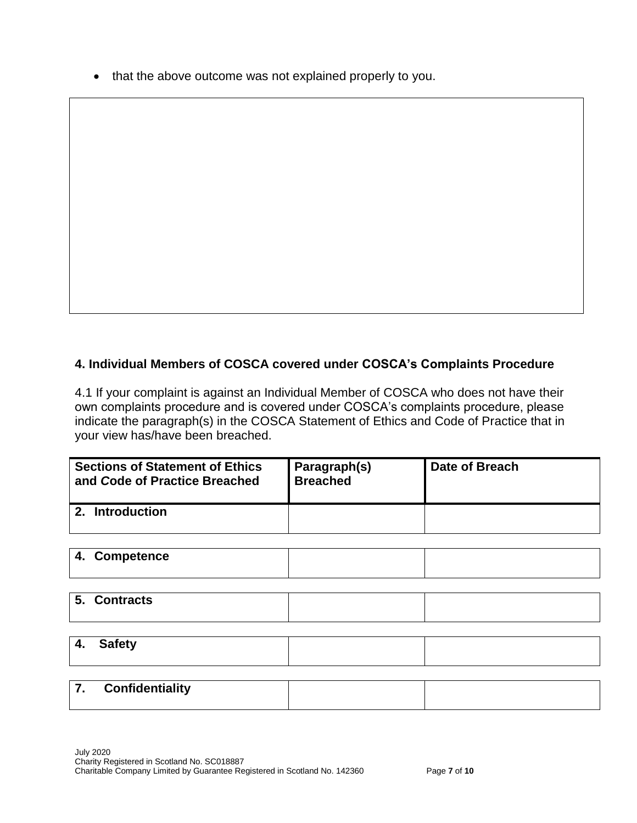• that the above outcome was not explained properly to you.

### **4. Individual Members of COSCA covered under COSCA's Complaints Procedure**

4.1 If your complaint is against an Individual Member of COSCA who does not have their own complaints procedure and is covered under COSCA's complaints procedure, please indicate the paragraph(s) in the COSCA Statement of Ethics and Code of Practice that in your view has/have been breached.

| <b>Sections of Statement of Ethics</b><br>and Code of Practice Breached | Paragraph(s)<br><b>Breached</b> | Date of Breach |
|-------------------------------------------------------------------------|---------------------------------|----------------|
| <b>Introduction</b>                                                     |                                 |                |

| 4. Competence |  |
|---------------|--|
|               |  |

| <b>Contracts</b><br>. ს. |  |
|--------------------------|--|
|                          |  |

**4. Safety**

| $\rightarrow$<br>. . | <b>Confidentiality</b> |  |
|----------------------|------------------------|--|
|                      |                        |  |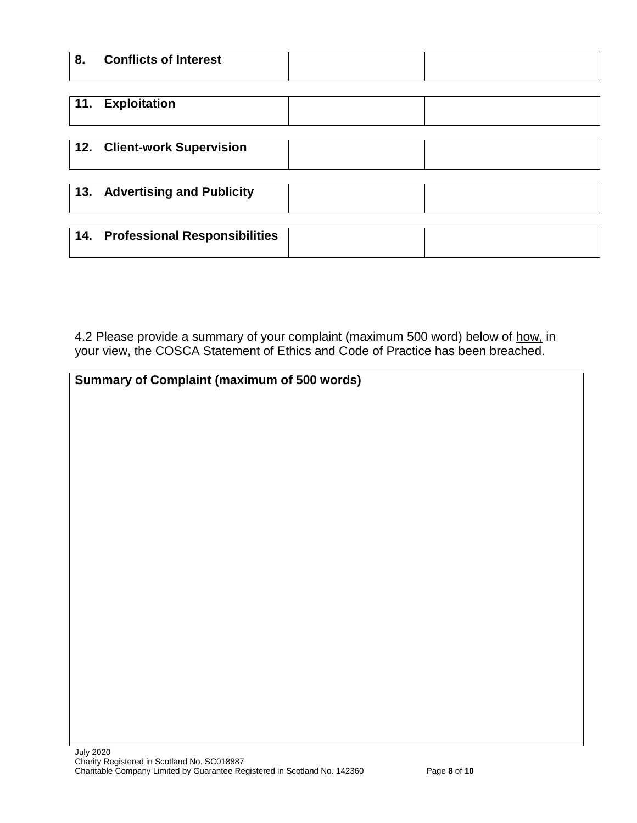| 8 <sub>1</sub> | <b>Conflicts of Interest</b>      |  |
|----------------|-----------------------------------|--|
| 11.            | <b>Exploitation</b>               |  |
|                | 12. Client-work Supervision       |  |
| 13.            | <b>Advertising and Publicity</b>  |  |
|                | 14. Professional Responsibilities |  |

4.2 Please provide a summary of your complaint (maximum 500 word) below of how, in your view, the COSCA Statement of Ethics and Code of Practice has been breached.

| <b>Summary of Complaint (maximum of 500 words)</b> |  |
|----------------------------------------------------|--|
|                                                    |  |
|                                                    |  |
|                                                    |  |
|                                                    |  |
|                                                    |  |
|                                                    |  |
|                                                    |  |
|                                                    |  |
|                                                    |  |
|                                                    |  |
|                                                    |  |
|                                                    |  |
|                                                    |  |
|                                                    |  |
|                                                    |  |
|                                                    |  |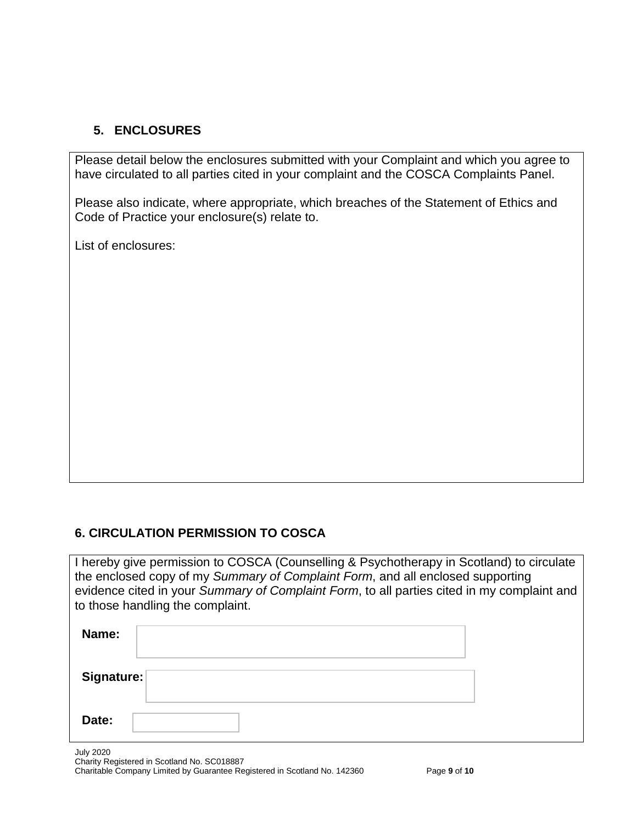## **5. ENCLOSURES**

Please detail below the enclosures submitted with your Complaint and which you agree to have circulated to all parties cited in your complaint and the COSCA Complaints Panel.

Please also indicate, where appropriate, which breaches of the Statement of Ethics and Code of Practice your enclosure(s) relate to.

List of enclosures:

### **6. CIRCULATION PERMISSION TO COSCA**

I hereby give permission to COSCA (Counselling & Psychotherapy in Scotland) to circulate the enclosed copy of my *Summary of Complaint Form*, and all enclosed supporting evidence cited in your *Summary of Complaint Form*, to all parties cited in my complaint and to those handling the complaint.

| Name:      |  |
|------------|--|
| Signature: |  |
| Date:      |  |